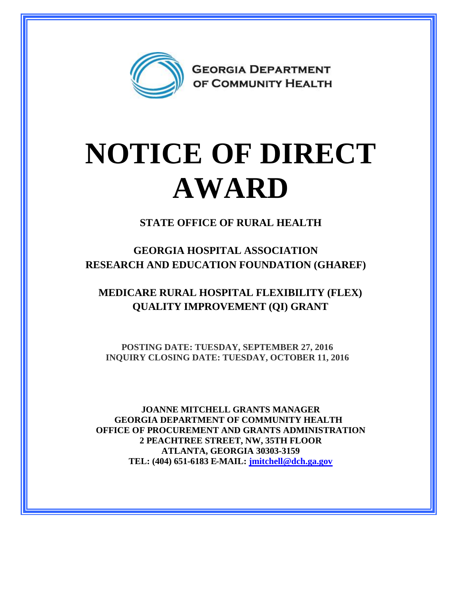

## **NOTICE OF DIRECT AWARD**

**STATE OFFICE OF RURAL HEALTH**

**GEORGIA HOSPITAL ASSOCIATION RESEARCH AND EDUCATION FOUNDATION (GHAREF)**

**MEDICARE RURAL HOSPITAL FLEXIBILITY (FLEX) QUALITY IMPROVEMENT (QI) GRANT**

**POSTING DATE: TUESDAY, SEPTEMBER 27, 2016 INQUIRY CLOSING DATE: TUESDAY, OCTOBER 11, 2016**

**JOANNE MITCHELL GRANTS MANAGER GEORGIA DEPARTMENT OF COMMUNITY HEALTH OFFICE OF PROCUREMENT AND GRANTS ADMINISTRATION 2 PEACHTREE STREET, NW, 35TH FLOOR ATLANTA, GEORGIA 30303-3159 TEL: (404) 651-6183 E-MAIL: [jmitchell@dch.ga.gov](mailto:jmitchell@dch.ga.gov)**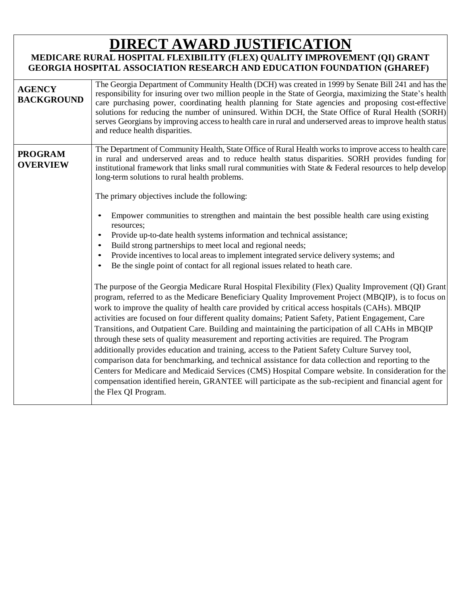## **DIRECT AWARD JUSTIFICATION**

## **MEDICARE RURAL HOSPITAL FLEXIBILITY (FLEX) QUALITY IMPROVEMENT (QI) GRANT GEORGIA HOSPITAL ASSOCIATION RESEARCH AND EDUCATION FOUNDATION (GHAREF)**

| <b>AGENCY</b><br><b>BACKGROUND</b> | The Georgia Department of Community Health (DCH) was created in 1999 by Senate Bill 241 and has the<br>responsibility for insuring over two million people in the State of Georgia, maximizing the State's health<br>care purchasing power, coordinating health planning for State agencies and proposing cost-effective<br>solutions for reducing the number of uninsured. Within DCH, the State Office of Rural Health (SORH)<br>serves Georgians by improving access to health care in rural and underserved areas to improve health status<br>and reduce health disparities.                                                                                                                                                                                                                                                                                                                                                                                                                                                                                                  |
|------------------------------------|-----------------------------------------------------------------------------------------------------------------------------------------------------------------------------------------------------------------------------------------------------------------------------------------------------------------------------------------------------------------------------------------------------------------------------------------------------------------------------------------------------------------------------------------------------------------------------------------------------------------------------------------------------------------------------------------------------------------------------------------------------------------------------------------------------------------------------------------------------------------------------------------------------------------------------------------------------------------------------------------------------------------------------------------------------------------------------------|
| <b>PROGRAM</b><br><b>OVERVIEW</b>  | The Department of Community Health, State Office of Rural Health works to improve access to health care<br>in rural and underserved areas and to reduce health status disparities. SORH provides funding for<br>institutional framework that links small rural communities with State $\&$ Federal resources to help develop<br>long-term solutions to rural health problems.<br>The primary objectives include the following:<br>Empower communities to strengthen and maintain the best possible health care using existing<br>resources;<br>Provide up-to-date health systems information and technical assistance;<br>Build strong partnerships to meet local and regional needs;<br>Provide incentives to local areas to implement integrated service delivery systems; and<br>Be the single point of contact for all regional issues related to heath care.<br>The purpose of the Georgia Medicare Rural Hospital Flexibility (Flex) Quality Improvement (QI) Grant<br>program, referred to as the Medicare Beneficiary Quality Improvement Project (MBQIP), is to focus on |
|                                    | work to improve the quality of health care provided by critical access hospitals (CAHs). MBQIP<br>activities are focused on four different quality domains; Patient Safety, Patient Engagement, Care<br>Transitions, and Outpatient Care. Building and maintaining the participation of all CAHs in MBQIP<br>through these sets of quality measurement and reporting activities are required. The Program<br>additionally provides education and training, access to the Patient Safety Culture Survey tool,<br>comparison data for benchmarking, and technical assistance for data collection and reporting to the<br>Centers for Medicare and Medicaid Services (CMS) Hospital Compare website. In consideration for the<br>compensation identified herein, GRANTEE will participate as the sub-recipient and financial agent for<br>the Flex QI Program.                                                                                                                                                                                                                       |